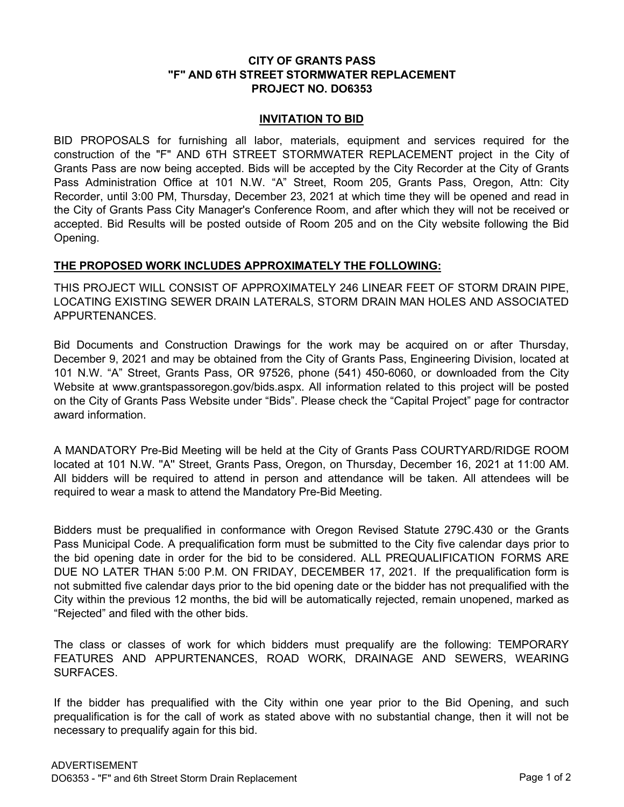# **CITY OF GRANTS PASS "F" AND 6TH STREET STORMWATER REPLACEMENT PROJECT NO. DO6353**

### **INVITATION TO BID**

BID PROPOSALS for furnishing all labor, materials, equipment and services required for the construction of the "F" AND 6TH STREET STORMWATER REPLACEMENT project in the City of Grants Pass are now being accepted. Bids will be accepted by the City Recorder at the City of Grants Pass Administration Office at 101 N.W. "A" Street, Room 205, Grants Pass, Oregon, Attn: City Recorder, until 3:00 PM, Thursday, December 23, 2021 at which time they will be opened and read in the City of Grants Pass City Manager's Conference Room, and after which they will not be received or accepted. Bid Results will be posted outside of Room 205 and on the City website following the Bid Opening.

# **THE PROPOSED WORK INCLUDES APPROXIMATELY THE FOLLOWING:**

THIS PROJECT WILL CONSIST OF APPROXIMATELY 246 LINEAR FEET OF STORM DRAIN PIPE, LOCATING EXISTING SEWER DRAIN LATERALS, STORM DRAIN MAN HOLES AND ASSOCIATED APPURTENANCES.

Bid Documents and Construction Drawings for the work may be acquired on or after Thursday, December 9, 2021 and may be obtained from the City of Grants Pass, Engineering Division, located at 101 N.W. "A" Street, Grants Pass, OR 97526, phone (541) 450-6060, or downloaded from the City Website at [www.grantspassoregon.gov/bids.aspx.](http://www.grantspassoregon.gov/bids.aspx) All information related to this project will be posted on the City of Grants Pass Website under "Bids". Please check the "Capital Project" page for contractor award information.

A MANDATORY Pre-Bid Meeting will be held at the City of Grants Pass COURTYARD/RIDGE ROOM located at 101 N.W. ''A'' Street, Grants Pass, Oregon, on Thursday, December 16, 2021 at 11:00 AM. All bidders will be required to attend in person and attendance will be taken. All attendees will be required to wear a mask to attend the Mandatory Pre-Bid Meeting.

Bidders must be prequalified in conformance with Oregon Revised Statute 279C.430 or the Grants Pass Municipal Code. A prequalification form must be submitted to the City five calendar days prior to the bid opening date in order for the bid to be considered. ALL PREQUALIFICATION FORMS ARE DUE NO LATER THAN 5:00 P.M. ON FRIDAY, DECEMBER 17, 2021. If the prequalification form is not submitted five calendar days prior to the bid opening date or the bidder has not prequalified with the City within the previous 12 months, the bid will be automatically rejected, remain unopened, marked as "Rejected" and filed with the other bids.

The class or classes of work for which bidders must prequalify are the following: TEMPORARY FEATURES AND APPURTENANCES, ROAD WORK, DRAINAGE AND SEWERS, WEARING SURFACES.

If the bidder has prequalified with the City within one year prior to the Bid Opening, and such prequalification is for the call of work as stated above with no substantial change, then it will not be necessary to prequalify again for this bid.